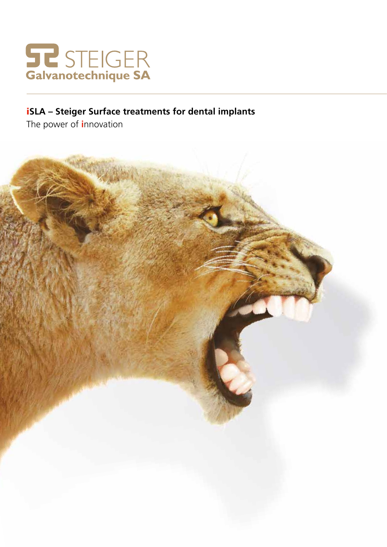

# **iSLA** - Steiger Surface treatments for dental implants

The power of innovation

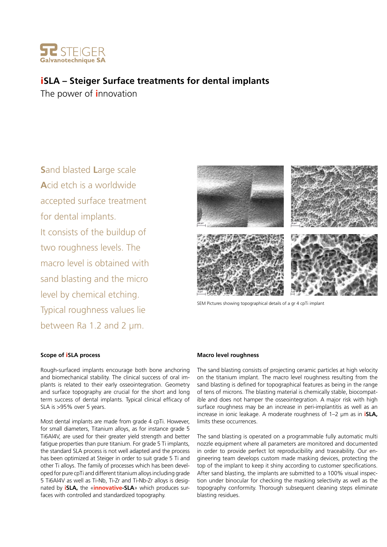

## i**SLA – Steiger Surface treatments for dental implants**

The power of **i**nnovation

**S**and blasted **L**arge scale **A**cid etch is a worldwide accepted surface treatment for dental implants. It consists of the buildup of two roughness levels. The macro level is obtained with sand blasting and the micro level by chemical etching. Typical roughness values lie between Ra 1.2 and 2 µm.



SEM Pictures showing topographical details of a gr 4 cpTi implant

#### **Scope of** i**SLA process**

Rough-surfaced implants encourage both bone anchoring and biomechanical stability. The clinical success of oral implants is related to their early osseointegration. Geometry and surface topography are crucial for the short and long term success of dental implants. Typical clinical efficacy of SLA is >95% over 5 years.

Most dental implants are made from grade 4 cpTi. However, for small diameters, Titanium alloys, as for instance grade 5 Ti6Al4V, are used for their greater yield strength and better fatigue properties than pure titanium. For grade 5 Ti implants, the standard SLA process is not well adapted and the process has been optimized at Steiger in order to suit grade 5 Ti and other Ti alloys. The family of processes which has been developed for pure cpTi and different titanium alloys including grade 5 Ti6Al4V as well as Ti-Nb, Ti-Zr and Ti-Nb-Zr alloys is designated by **iSLA,** the «**innovative-SLA**» which produces surfaces with controlled and standardized topography.

#### **Macro level roughness**

The sand blasting consists of projecting ceramic particles at high velocity on the titanium implant. The macro level roughness resulting from the sand blasting is defined for topographical features as being in the range of tens of microns. The blasting material is chemically stable, biocompatible and does not hamper the osseointegration. A major risk with high surface roughness may be an increase in peri-implantitis as well as an increase in ionic leakage. A moderate roughness of 1–2 µm as in **iSLA,** limits these occurrences.

The sand blasting is operated on a programmable fully automatic multi nozzle equipment where all parameters are monitored and documented in order to provide perfect lot reproducibility and traceability. Our engineering team develops custom made masking devices, protecting the top of the implant to keep it shiny according to customer specifications. After sand blasting, the implants are submitted to a 100% visual inspection under binocular for checking the masking selectivity as well as the topography conformity. Thorough subsequent cleaning steps eliminate blasting residues.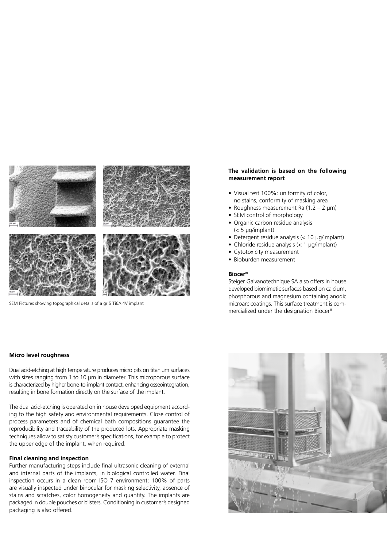

SEM Pictures showing topographical details of a gr 5 Ti6Al4V implant

#### **The validation is based on the following measurement report**

- Visual test 100%: uniformity of color, no stains, conformity of masking area
- Roughness measurement Ra  $(1.2 2 \mu m)$
- SEM control of morphology
- Organic carbon residue analysis (< 5 µg/implant)
- Detergent residue analysis (< 10 µg/implant)
- Chloride residue analysis (< 1 µg/implant)
- Cytotoxicity measurement
- Bioburden measurement

#### **Biocer®**

Steiger Galvanotechnique SA also offers in house developed biomimetic surfaces based on calcium, phosphorous and magnesium containing anodic microarc coatings. This surface treatment is commercialized under the designation Biocer®

#### **Micro level roughness**

Dual acid-etching at high temperature produces micro pits on titanium surfaces with sizes ranging from 1 to 10 µm in diameter. This microporous surface is characterized by higher bone-to-implant contact, enhancing osseointegration, resulting in bone formation directly on the surface of the implant.

The dual acid-etching is operated on in house developed equipment according to the high safety and environmental requirements. Close control of process parameters and of chemical bath compositions guarantee the reproducibility and traceability of the produced lots. Appropriate masking techniques allow to satisfy customer's specifications, for example to protect the upper edge of the implant, when required.

#### **Final cleaning and inspection**

Further manufacturing steps include final ultrasonic cleaning of external and internal parts of the implants, in biological controlled water. Final inspection occurs in a clean room ISO 7 environment; 100% of parts are visually inspected under binocular for masking selectivity, absence of stains and scratches, color homogeneity and quantity. The implants are packaged in double pouches or blisters. Conditioning in customer's designed packaging is also offered.